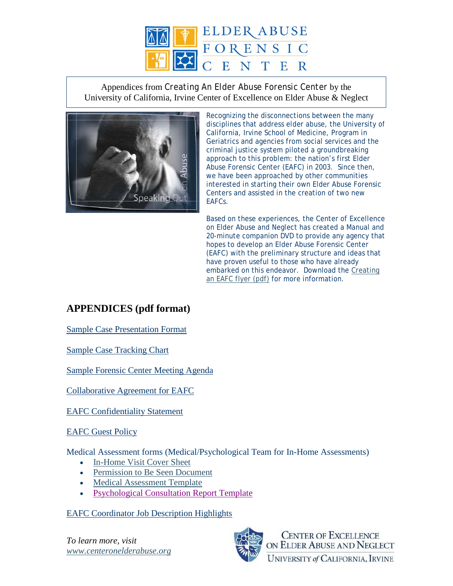

Appendices from *Creating An Elder Abuse Forensic Center* by the University of California, Irvine Center of Excellence on Elder Abuse & Neglect



Recognizing the disconnections between the many disciplines that address elder abuse, the University of California, Irvine School of Medicine, Program in Geriatrics and agencies from social services and the criminal justice system piloted a groundbreaking approach to this problem: the nation's first Elder Abuse Forensic Center (EAFC) in 2003. Since then, we have been approached by other communities interested in starting their own Elder Abuse Forensic Centers and assisted in the creation of two new EAFCs.

Based on these experiences, the Center of Excellence on Elder Abuse and Neglect has created a Manual and 20-minute companion DVD to provide any agency that hopes to develop an Elder Abuse Forensic Center (EAFC) with the preliminary structure and ideas that have proven useful to those who have already embarked on this endeavor. Download the [Creating](http://www.centeronelderabuse.org/docs/orderformkitonly.pdf)  [an EAFC flyer \(pdf\)](http://www.centeronelderabuse.org/docs/orderformkitonly.pdf) for more information.

## **APPENDICES (pdf format)**

[Sample Case Presentation Format](http://www.centeronelderabuse.org/docs/CasePresentation.pdf)

[Sample Case Tracking Chart](http://www.centeronelderabuse.org/docs/CaseTracking.pdf)

[Sample Forensic Center Meeting Agenda](http://www.centeronelderabuse.org/docs/MeetingAgenda.pdf)

[Collaborative Agreement for EAFC](http://www.centeronelderabuse.org/docs/CollaborativeAgreement.pdf)

[EAFC Confidentiality Statement](http://www.centeronelderabuse.org/docs/ConfidentialityStatement.pdf)

[EAFC Guest Policy](http://www.centeronelderabuse.org/docs/GuestPolicy.pdf)

Medical Assessment forms (Medical/Psychological Team for In-Home Assessments)

- [In-Home Visit Cover Sheet](http://www.centeronelderabuse.org/docs/InHomeVisitCover.pdf)
- [Permission to Be Seen Document](http://www.centeronelderabuse.org/docs/PermissionToBeSeen.pdf)
- [Medical Assessment Template](http://www.centeronelderabuse.org/docs/MedicalAssessment.pdf)
- [Psychological Consultation Report Template](http://www.centeronelderabuse.org/docs/PsychConsultRpt.pdf)

## [EAFC Coordinator Job Description Highlights](http://www.centeronelderabuse.org/docs/CoordinatorJobDescr.pdf)

*To learn more, visit [www.centeronelderabuse.org](http://www.centeronelderabuse.org/)*



**CENTER OF EXCELLENCE** ON ELDER ABUSE AND NEGLECT **UNIVERSITY of CALIFORNIA, IRVINE**